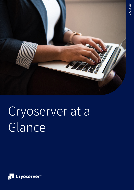

# Cryoserver at a Glance

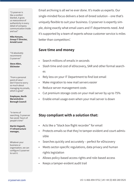"Cryoserver is like a comfort blanket, it gives us reassurance of authenticity in every detail of company communication inside and out"

#### **Mike Kenyon, Group IT Director, Arnold Laver**

"I'd absolutely recommend Cryoserver"

**Steve Allen, Silchester**

"From a personal point of view I don't have to worry so much about managing my emails, which is great"

**Employee, North Warwickshire Borough Council**

"In terms of searching, Cryoserver has saved hours of people's time"

**Martin Vogwell, IT infrastructure manager,** 

Whatever your business or organisation, we can configure Cryoserver to suit it.

Email archiving is all we've ever done. It's made us experts. Our single-minded focus delivers a best-of-breed solution – one that's uniquely flexible to suit your business. Cryoserver is expertly simple, doing exactly what email users and IT departments need. And it's supported by a team of experts whose customer service is miles better than competitors'.

## **Save time and money**

- Search millions of emails in seconds
- Slash time and cost of eDiscovery, SAR and other formal searches
- Rely less on your IT Department to find lost email
- Make migration to new mail servers easier
- Reduce server management costs
- Cut premium storage costs on your mail server by up to 75%
- Enable email usage even when your mail server is down

## **Stay compliant with a solution that:**

- Acts like a "black box flight recorder" for email
- Protects emails so that they're tamper-evident and court-admissible
- Searches quickly and accurately perfect for eDiscovery
- Meets sector-specific regulations, data privacy and human rights legislation
- Allows policy-based access rights and role-based access
- Keeps a tamper-evident audit trail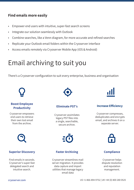### **Find emails more easily**

- Empower end users with intuitive, super-fast search screens
- Integrate our solution seamlessly with Outlook
- Combine searches, like a Venn diagram, for more accurate and refined searches
- Replicate your Outlook email folders within the Cryoserver interface
- Access emails remotely via Cryoserver Mobile App (iOS & Android)

# Email archiving to suit you

There's a Cryoserver configuration to suit every enterprise, business and organisation



#### **Boost Employee Productivity**

Cryoserver empowers end users to retrieve their own lost email from the archive.



#### **Eliminate PST's**

Cryoserver assimilates legacy PST files into a single, searchable, secure archive.



#### **Increase Efficiency**

Cryoserver compresses, deduplicates and encrypts email, and archives it on a separate server.



#### **Superior Discovery**

Find emails in seconds. Cryoserver's super-fast delegated search and intuitive search.



#### **Faster Archiving**

Cryoserver streamlines mail server migration. It provides data capture and import utilities that manage legacy email data



#### **Compliance**

Cryoserver helps dispute resolution and reputation management.